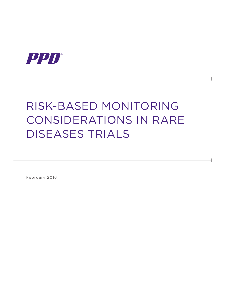

# Risk-Based Monitoring Considerations in Rare Diseases Trials

February 2016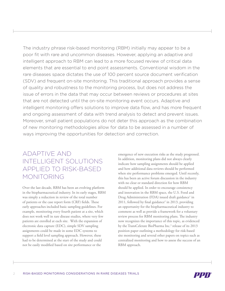The industry phrase risk-based monitoring (RBM) initially may appear to be a poor fit with rare and uncommon diseases. However, applying an adaptive and intelligent approach to RBM can lead to a more focused review of critical data elements that are essential to end point assessments. Conventional wisdom in the rare diseases space dictates the use of 100 percent source document verification (SDV) and frequent on-site monitoring. This traditional approach provides a sense of quality and robustness to the monitoring process, but does not address the issue of errors in the data that may occur between reviews or procedures at sites that are not detected until the on-site monitoring event occurs. Adaptive and intelligent monitoring offers solutions to improve data flow, and has more frequent and ongoing assessment of data with trend analysis to detect and prevent issues. Moreover, small patient populations do not deter this approach as the combination of new monitoring methodologies allow for data to be assessed in a number of ways improving the opportunities for detection and correction.

# Adaptive and Intelligent Solutions Applied to Risk-Based Monitoring

Over the last decade, RBM has been an evolving platform in the biopharmaceutical industry. In its early stages, RBM was simply a reduction in review of the total number of patients or the case report form (CRF) fields. These early approaches included basic sampling guidelines. For example, monitoring every fourth patient at a site, which does not work well in rare disease studies, where very few patients are enrolled at each site. With the expansion of electronic data capture (EDC), simple SDV sampling assignments could be made in some EDC systems to support a field level sampling approach. However, these had to be determined at the start of the study and could not be easily modified based on site performance or the

emergence of new execution risks as the study progressed. In addition, monitoring plans did not always clearly indicate how sampling assignments should be applied and how additional data reviews should be performed when site performance problems emerged. Until recently, this has been an active forum discussion in the industry with no clear or standard direction for how RBM should be applied. In order to encourage consistency and innovation in the RBM space, the U.S. Food and Drug Administration (FDA) issued draft guidance<sup>1</sup> in 2011, followed by final guidance<sup>2</sup> in 2013, providing an opportunity for the biopharmaceutical industry to comment as well as provide a framework for a voluntary review process for RBM monitoring plans. The industry now recognizes the importance of this topic, as evidenced by the TransCelerate BioPharma Inc.<sup>3</sup> release of its 2013 position paper outlining a methodology for risk-based site monitoring and several other papers on topics such as centralized monitoring and how to assess the success of an RBM approach.

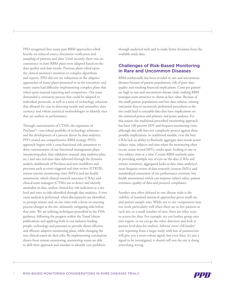PPD recognized that many past RBM approaches relied heavily on reduced source document verification and sampling of patients and data. Until recently, there was no consistency in how RBM plans were adapted based on the data quality and data trends. Previous plans relied upon the clinical monitor's intuition or complex algorithms and reports. PPD did not see robustness in the adaptive approaches of many plans presented to us for execution, and many teams had difficulty implementing complex plans that relied upon manual reporting and comparison. Our team demanded a consistent process that could be adapted to individual protocols, as well as a suite of technology solutions that allowed for ease in detecting trends and anomalies, data currency and robust statistical methodologies to identify sites that are outliers in performance.

Through customization of CTMS, the expansion of Preclarus®—our robust portfolio of technology solutions and the development of a process driven by data analytics, PPD created our comprehensive RBM strategy. PPD's approach begins with a cross-functional risk assessment to drive customization of our functional management plans (monitoring plan, data validation manual, data analytics plan, etc.) and uses real-time data delivered through the dynamic analytic dashboards of Preclarus and new workflows and processes such as event triggered real time review (ETRTR), remote interim monitoring visits (IMVs) and site health assessments, which clinical research associates (CRAs) and clinical team managers (CTMs) use to detect and identify anomalies in data, analyze clinical key risk indicators at a site level and react to risks identified through data analytics. A root cause analysis is performed, when discrepancies are identified, to prompt remote and on-site visits with a focus on enacting process changes at the site, ultimately mitigating risks before they arise. We are utilizing techniques prescribed in the FDA guidance, following the progress within the TransCelerate publications and applying both to our industry-leading people, technology and processes to provide clients effective and efficient adaptive monitoring plans, while changing the way clinical teams do their jobs. By implementing conclusions drawn from remote monitoring, monitoring teams are able to shift their approach and mindset to identify core problems

through analytical tools and to make better decisions from the available study data.

#### Challenges of Risk-Based Monitoring in Rare and Uncommon Diseases

RBM traditionally has been avoided in rare and uncommon diseases because of patient populations, risk of poor data quality and resulting financial implications. Costs per patient are high in rare and uncommon disease trials, making RBM strategies seem attractive to clients at face value. Because of the small patient populations and low data volume, missing end point data or incorrectly performed procedures at the site could lead to unusable data that have implications on the statistical power and primary end point analyses. For this reason, the traditional prescribed monitoring approach has been 100 percent SDV and frequent monitoring visits, although this still does not completely protect against these possible implications. In traditional models, even the best CRAs lack an ability to flawlessly aggregate data trends across subject visits, subjects and sites when the monitoring often occurs across several IMVs, weeks apart, looking at one or two subject visits at a time. Certain RBM methods assist in providing multiple sets of eyes on the data (CRAs and remote monitors), aggregated looks at data (data analytics), more frequent review of data remotely (remote IMVs) and standardized assessment of site performance overtime (site health assessments) which can improve subject safety, patient retention, quality of data and protocol compliance.

Another area often debated in rare disease trials is the viability of standard statistical approaches given small site and patient sample sizes. While site to site comparisons may not work particularly well when there are so few patients at each site, or a small number of sites, there are other ways to screen the data. For example, we can further group sites into region, or we can go the other direction and look at patient level data for outliers. Adverse event (AE)under/ over reporting from a larger study with lots of patients/site will give you a more robust signal, but even then, it's just a signal to be investigated, it doesn't tell you the site is doing something wrong.

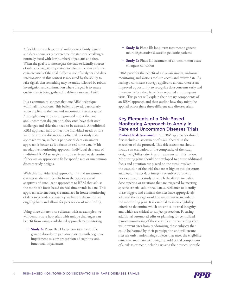A flexible approach to use of analytics to identify signals and data anomalies can overcome the statistical challenges normally faced with low numbers of patients and sites. When the goal is to interrogate the data to identify sources of risk on a trial, it's imperative to refocus the lens to fit the characteristics of the trial. Effective use of analytics and data interrogation in this context is measured by the ability to raise signals that something may be amiss, followed by robust investigation and confirmation where the goal is to ensure quality data is being gathered to deliver a successful trial.

It is a common misnomer that one RBM technique will fit all indications. This belief is flawed, particularly when applied in the rare and uncommon diseases space. Although many diseases are grouped under the rare and uncommon designation, they each have their own challenges and risks that need to be assessed. A traditional RBM approach fails to meet the individual needs of rare and uncommon diseases as it often takes a study data approach when, in fact, a per patient data assessment approach is better, as is a focus on real-time data. With an adaptive monitoring approach, individual elements of traditional RBM strategies must be reviewed to determine if they are an appropriate fit for specific rare or uncommon diseases study designs.

With this individualized approach, rare and uncommon diseases studies can benefit from the application of adaptive and intelligent approaches to RBM that adjust the monitor's focus based on real-time trends in data. This approach also encourages centralized in-house monitoring of data to provide consistency within the dataset on an ongoing basis and allows for peer review of monitoring.

Using three different rare diseases trials as examples, we will demonstrate how trials with unique challenges can benefit from using a risk-based approach to monitoring.

+ **Study A:** Phase II/III long-term treatment of a genetic disorder in pediatric patients with cognitive impairment to slow progression of cognitive and functional impairment

- + **Study B:** Phase IIb long-term treatment a genetic neurodegenerative disease in pediatric patients
- + **Study C:** Phase III treatment of an uncommon acute emergent condition

RBM provides the benefit of a risk assessment, in-house monitoring and various tools to access and review data. By having a consistent strategy applied to all data there is an improved opportunity to recognize data concerns early and intervene before they have been repeated at subsequent visits. This paper will explain the primary components of an RBM approach and then outline how they might be applied across these three different rare diseases trials.

#### Key Elements of a Risk-Based Monitoring Approach to Apply in Rare and Uncommon Diseases Trials

**Protocol Risk Assessment.** All RBM approaches should first include an assessment of risks inherent in the execution of the protocol. This risk assessment should include an evaluation of the complexity of the study design, eligibility criteria and treatment administration. Monitoring plans should be developed to ensure additional focus and attention are placed on the areas involved in the execution of the trial that are at highest risk for errors and could impact data integrity or subject protection. For example, in a study in which the design includes dose tapering or titrations that are triggered by meeting specific criteria, additional data surveillance to identify these triggers and confirm the sites have appropriately adjusted the dosage would be important to include in the monitoring plan. It is essential to assess eligibility criteria to determine which are critical to trial integrity and which are critical to subject protection. Focusing additional automated edits or planning for centralized remote monitoring of these criteria at the screening visit will prevent sites from randomizing those subjects that could be harmed by their participation and will ensure sites are only randomizing subjects that meet the eligibility criteria to maintain trial integrity. Additional components of a risk assessment include assessing the protocol specific

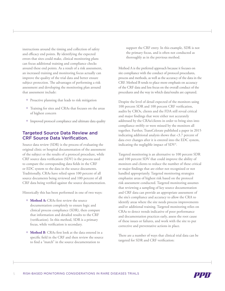instructions around the timing and collection of safety and efficacy end points. By identifying the expected errors that sites could make, clinical monitoring plans can focus additional training and compliance checks around these end points. As a result of a risk assessment, an increased training and monitoring focus actually can improve the quality of the trial data and better ensure subject protection. The advantages of performing a risk assessment and developing the monitoring plan around that assessment include:

- + Proactive planning that leads to risk mitigation
- + Training for sites and CRAs that focuses on the areas of highest concern
- + Improved protocol compliance and ultimate data quality

### Targeted Source Data Review and CRF Source Data Verification.

Source data review (SDR) is the process of evaluating the original clinic or hospital documentation of the assessment of the subject or the results of a protocol procedure, while CRF source data verification (SDV) is the process used to compare the corresponding data fields in the CRF or EDC system to the data in the source documents. Traditionally, CRAs have relied upon 100 percent of all source documents being reviewed and 100 percent of all CRF data being verified against the source documentation.

Historically this has been performed in one of two ways:

- + **Method A:** CRAs first review the source documentation completely to ensure logic and clinical process compliance (SDR), then compare that information and detailed results to the CRF (verification). In this method, SDR is a primary focus, while verification is secondary.
- + **Method B**: CRAs first look at the data entered in a specific field in the CRF and then review the source to find a "match" in the source documentation to

support the CRF entry. In this example, SDR is not the primary focus, and is often not conducted as thoroughly as in the previous method.

Method A is the preferred approach because it focuses on site compliance with the conduct of protocol procedures, process and methods, as well as the accuracy of the data in the CRF. Method B tends to place more emphasis on accuracy of the CRF data and less focus on the overall conduct of the procedures and the way in which data/results are captured.

Despite the level of detail expected of the monitors using 100 percent SDR and 100 percent CRF verification, audits by CROs, clients and the FDA still reveal critical and major findings that were either not accurately addressed by the CRAs/clients in order to bring sites into compliance swiftly or were missed by the monitors all together. Further, TransCelerate published a paper in 2015 indicating additional analysis shows that <3.7 percent of data ever changes after it is entered into the EDC system, indicating the negligible impact of SDV<sup>4</sup>.

Targeted monitoring is an alternative to 100 percent SDR and 100 percent SDV that could improve the ability of monitors and clients to reduce the number of these critical or major findings that are either not recognized or not handled appropriately. Targeted monitoring strategies emphasize areas of highest risk based on the protocol risk assessment conducted. Targeted monitoring assumes that reviewing a sampling of key source documentation and CRF data can provide an appropriate assessment of the site's compliance and accuracy to allow the CRA to identify areas where the site needs process improvements and/or additional training. Targeted monitoring relies on CRAs to detect trends indicative of poor performance and documentation practices early, assess the root cause of these issues or failures, and work with the site to put corrective and preventative actions in place.

There are a number of ways that clinical trial data can be targeted for SDR and CRF verification:

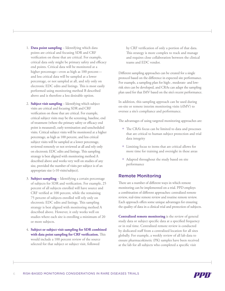- 1. **Data point sampling** Identifying which data points are critical and focusing SDR and CRF verification on those that are critical. For example, critical data only might be primary safety and efficacy end points. Critical data will be monitored at a higher percentage—even as high as 100 percent and less critical data will be sampled at a lower percentage, or not sampled at all, and rely only on electronic EDC edits and listings. This is most easily performed using monitoring method B described above and is therefore a less desirable option.
- 2. **Subject visit sampling** Identifying which subject visits are critical and focusing SDR and CRF verification on those that are critical. For example, critical subject visits may be the screening, baseline, end of treatment (where the primary safety or efficacy end point is measured), early termination and unscheduled visits. Critical subject visits will be monitored at a higher percentage, as high as 100 percent, and less critical subject visits will be sampled at a lower percentage, reviewed remotely or not reviewed at all and rely only on electronic EDC edits and listings. This sampling strategy is best aligned with monitoring method A described above and works very well on studies of any size, provided the number of visits per subject is of an appropriate size (>10 visits/subject).
- 3. **Subject sampling** Identifying a certain percentage of subjects for SDR and verification. For example, 25 percent of all subjects enrolled will have source and CRF verified at 100 percent, while the remaining 75 percent of subjects enrolled will rely only on electronic EDC edits and listings. This sampling strategy is best aligned with monitoring method A described above. However, it only works well on studies where each site is enrolling a minimum of 20 or more subjects.
- 4. **Subject or subject visit sampling for SDR combined with data point sampling for CRF verification.** This would include a 100 percent review of the source selected for that subject or subject visit, followed

by CRF verification of only a portion of that data. This strategy is more complex to track and manage and requires close collaboration between the clinical teams and EDC vendor.

Different sampling approaches can be created for a single protocol based on the difference in expected site performance. For example, a sampling plan for high-, moderate- and lowrisk sites can be developed, and CRAs can adapt the sampling plan used for that IMV based on the site's recent performance.

In addition, this sampling approach can be used during on-site or remote interim monitoring visits (rIMV) to oversee a site's compliance and performance.

The advantages of using targeted monitoring approaches are:

- + The CRA's focus can be limited to data and processes that are critical to human subject protection and trial data integrity
- + Limiting focus to items that are critical allows for more time for training and oversight in these areas
- + Adapted throughout the study based on site performance

#### Remote Monitoring

There are a number of different ways in which remote monitoring can be implemented on a trial. PPD employs a combination of different approaches: centralized remote review, real-time remote review and routine remote review. Each approach offers some unique advantages for ensuring the quality of data in a clinical trial and protection of subjects.

**Centralized remote monitoring** is the review of general study data or subject specific data at a specified frequency or in real time. Centralized remote review is conducted by dedicated staff from a centralized location for all sites globally. For example, a weekly review of all lab data to ensure pharmacokinetic (PK) samples have been received at the lab for all subjects who completed a specific visit

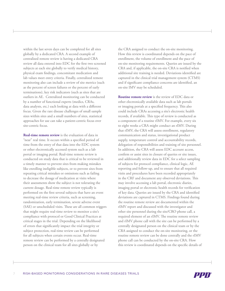within the last seven days can be completed for all sites globally by a dedicated CRA. A second example of centralized remote review is having a dedicated CRA review all data entered into EDC for the first two screened subjects at each site globally to verify medical history, physical exam findings, concomitant medication and lab values meet entry criteria. Finally, centralized remote monitoring also can include a review of site metrics (such as the percent of screen failures or the percent of early terminations), key risk indicators (such as sites that are outliers in AE. Centralized monitoring can be conducted by a number of functional experts (medics, CRAs, data analysts, etc.) each looking at data with a different focus. Given the rare disease challenges of small sample sizes within sites and a small numbers of sites, statistical approaches for use can take a patient-centric focus over site-centric focus.

**Real-time remote review** is the evaluation of data in "near" real time. It occurs within a specified period of time from the entry of that data into the EDC system or other electronically accessed system such as a lab portal or imaging portal. Real-time remote review is conducted on study data that is critical to be reviewed in a timely manner to prevent sites from making mistakes like enrolling ineligible subjects, or to prevent sites from repeating critical mistakes or omissions such as failing to decrease the dosage of medication at visits where their assessments show the subject is not tolerating the current dosage. Real-time remote review typically is performed on the first several subjects that have an event meeting real-time review criteria, such as screening, randomization, early termination, severe adverse event (SAE) or unscheduled visits. These are all common triggers that might require real-time review to monitor a site's compliance with protocol or Good Clinical Practices at critical stages in the trial. Depending on the likelihood of errors that significantly impact the trial integrity or subject protection, real-time review can be performed for all subjects when certain events occur. Real-time remote review can be performed by a centrally designated person on the clinical team for all sites globally or by

the CRA assigned to conduct the on-site monitoring. How this review is coordinated depends on the pace of enrollment, the volume of enrollment and the pace of on-site monitoring requirements. Queries are issued by the CRA and, if applicable, the on-site CRA is notified when additional site training is needed. Deviations identified are captured in the clinical trial management system (CTMS) and if significant compliance concerns are identified, an on-site IMV may be scheduled.

**Routine remote review** is the review of EDC data or other electronically available data such as lab portals or imaging portals at a specified frequency. This also could include CRAs accessing a site's electronic health records, if available. This type of review is conducted as a component of a routine rIMV. For example, every six to eight weeks a CRA might conduct an rIMV. During that rIMV, the CRA will assess enrollment, regulatory communication and status, investigational product supply, temperature control and accountability records, delegation of responsibilities and training of site personnel. In addition, the CRA will assess EDC account access, confirm or assist sites in closure of queries or site issues, and additionally review data in EDC for a select sampling of subjects for protocol compliance, clinical logic, AE reporting and follow-up, and to ensure that all required visits and procedures have been recorded appropriately in the CRF and document any observed deviations. This may involve accessing a lab portal, electronic diaries, imaging portal or electronic health records for verification of key data. Queries are issued by the CRA and identified deviations are captured in CTMS. Findings found during the routine remote review are documented within the rIMV report and discussed with the investigator and other site personnel during the site/CRO phone call, a required element of an rIMV. The routine remote review and rIMV phone call with the site can be performed by a centrally designated person on the clinical team or by the CRA assigned to conduct the on-site monitoring, or the routine remote review can be done centrally and the rIMV phone call can be conducted by the on-site CRA. How this review is coordinated depends on the specific details of

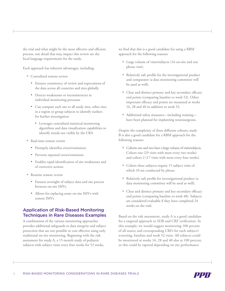the trial and what might be the most effective and efficient process, one detail that may impact this review are the local language requirements for the study.

Each approach has inherent advantages, including:

- + Centralized remote review
	- • Ensures consistency of review and expectations of the data across all countries and sites globally
	- Detects weaknesses or inconsistencies in individual monitoring processes
	- • Can compare each site to all study sites, other sites in a region or group subjects to identify outliers for further investigation
		- • Leverages centralized statistical monitoring algorithms and data visualization capabilities to identify trends not visible by the CRA
- + Real-time remote review
	- • Promptly identifies errors/omissions
	- Prevents repeated errors/omissions
	- • Enables rapid identification of site weaknesses and of corrective actions
- + Routine remote review
	- • Ensures oversight of subject data and site process between on-site IMVs
	- Allows for replacing some on-site IMVs with remote IMVs

## Application of Risk-Based Monitoring Techniques in Rare Diseases Examples

A combination of the various monitoring approaches provides additional safeguards to data integrity and subject protection that are not possible or cost effective using only traditional on-site monitoring. Beginning with the risk assessment for study A, a 15-month study of pediatric subjects with subject visits every four weeks for 52 weeks,

we find that this is a good candidate for using a RBM approach for the following reasons:

- + Large volume of visits/subjects (16 on-site and one phone visit).
- + Relatively safe profile for the investigational product and comparator (a data monitoring committee will be used as well).
- + Clear and distinct primary and key secondary efficacy end points (comparing baseline to week 52). Other important efficacy end points are measured at weeks 16, 28 and 40 in addition to week 52.
- + Additional safety measures—including training have been planned for implanting neurosurgeons.

Despite the complexity of three different cohorts, study B is also a good candidate for a RBM approach for the following reasons:

- + Cohorts one and two have a large volume of visits/subjects. Cohort one (29 visits with most every two weeks) and cohort 2 (17 visits with most every four weeks).
- + Cohort three subjects require 15 subject visits of which 10 are conducted by phone.
- + Relatively safe profile for investigational product (a data monitoring committee will be used as well).
- + Clear and distinct primary and key secondary efficacy end points (comparing baseline to week 48). Subjects are considered evaluable if they have completed 24 weeks on the trial.

Based on the risk assessment, study A is a good candidate for a targeted approach to SDR and CRF verification. In this example, we would suggest monitoring 100 percent of all source and corresponding CRFs for each subject's screening, baseline and week 52 visits. All subjects could be monitored at weeks 16, 28 and 40 also at 100 percent, or this could be tapered depending on site performance

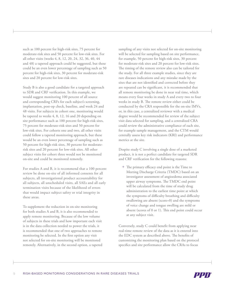such as 100 percent for high-risk sites, 75 percent for moderate-risk sites and 50 percent for low-risk sites. For all other visits (weeks 4, 8, 12, 20, 24, 32, 36, 40, 44 and 48) a tapered approach could be suggested, but these could be an even lower percentage of sampling such as 50 percent for high-risk sites, 30 percent for moderate-risk sites and 20 percent for low-risk sites.

Study B is also a good candidate for a targeted approach to SDR and CRF verification. In this example, we would suggest monitoring 100 percent of all source and corresponding CRFs for each subject's screening, implantation, post-op check, baseline, and week 24 and 48 visits. For subjects in cohort one, monitoring would be tapered to weeks 4, 8, 12, 16 and 20 depending on site performance such as 100 percent for high-risk sites, 75 percent for moderate-risk sites and 50 percent for low-risk sites. For cohorts one and two, all other visits could follow a tapered monitoring approach, but these would be an even lower percentage of sampling such as 50 percent for high-risk sites, 30 percent for moderaterisk sites and 20 percent for low-risk sites. All other subject visits for cohort three would not be monitored on-site and could be monitored remotely.

For studies A and B, it is recommend that a 100 percent review be done on-site of all informed consents for all subjects, all investigational product accountability for all subjects, all unscheduled visits, all SAEs and all early termination visits because of the likelihood of errors that would impact subject safety or trial integrity in these areas.

To supplement the reduction in on-site monitoring for both studies A and B, it is also recommended to apply remote monitoring. Because of the low volume of subjects in these trials and how important each visit is in the data collection needed to power the trials, it is recommended that one of two approaches to remote monitoring be selected. In the first option any visit not selected for on-site monitoring will be monitored remotely. Alternatively, in the second option, a tapered

sampling of any visits not selected for on-site monitoring will be selected for sampling based on site performance, for example, 50 percent for high-risk sites, 30 percent for moderate-risk sites and 20 percent for low-risk sites. The timing of the remote review also can be tailored for the study. For all three example studies, since they are rare diseases indications and any mistake made by the sites that are not identified and corrected before they are repeated can be significant, it is recommended that all remote monitoring be done in near real time, which means every four weeks in study A and every two to four weeks in study B. The remote review either could be conducted by the CRA responsible for the on-site IMVs, or, in this case, a centralized reviewer with a medical degree would be recommended for review of the subject visit data selected for sampling, and a centralized CRA could review the administrative compliance of each site, for example sample management, and the CTM would centrally assess key risk indicators (KRI) and performance metrics at the site.

Despite study C involving a single dose of a marketed product, it is not a perfect candidate for targeted SDR and CRF verification for the following reasons:

+ The primary efficacy end point is the Time to Meeting Discharge Criteria (TMDC) based on an investigator assessment of angioedema associated upper airway symptoms. The TMDC end point will be calculated from the time of study drug administration to the earliest time point at which the symptoms of difficulty breathing and difficulty swallowing are absent (score=0) and the symptoms of voice change and tongue swelling are mild or absent (scores of 0 or 1). This end point could occur at any subject visit.

Conversely, study C could benefit from applying near real-time remote review of the data as it is entered into the EDC system as described above. The benefits of customizing the monitoring plan based on the protocol specifics and site performance allow the CRAs to focus

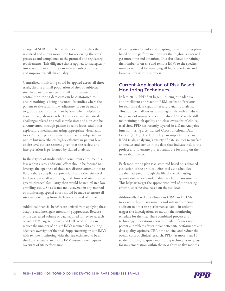a targeted SDR and CRF verification on the data that is critical and allows more time for reviewing the site's processes and compliance to the protocol and regulatory requirements. This diligence that is applied to strategically timed remote monitoring can increase subject protection and improve overall data quality.

Centralized monitoring could be applied across all three trials, despite a small population of sites or subjects/ site. In a rare diseases trial, small adjustments to the central monitoring data cuts can be customized to ensure nothing is being obscured. In studies where the patient to site ratio is low, adjustments can be made to group patients other than by 'site' when helpful to tease out signals or trends. Numerical and statistical challenges related to small sample sizes and sites can be circumvented through patient specific focus, and other exploratory mechanisms using appropriate visualization tools. Some exploratory methods may be subjective in nature but nevertheless highly effective in patient level or site level risk assessment given that the review and interpretation is performed by skilled analysts.

In these types of studies where concurrent enrollment is low within a site, additional effort should be focused to leverage the openness of these rare disease communities to fluidly share compliance, procedural and other site-level feedback across all sites or regional clusters of sites to drive greater protocol familiarity than would be natural in a low enrolling study. So as issues are discovered in any method of monitoring, special effort should be made to ensure all sites are benefiting from the lessons learned of others.

Additional financial benefits are derived from applying these adaptive and intelligent monitoring approaches. Because of the decreased volume of data required for review at each on-site IMV, targeted source and CRF verification can reduce the number of on-site IMVs required for ensuring adequate oversight of the trial. Supplementing on-site IMVs with remote monitoring visits that are estimated to be a third of the cost of an on-site IMV ensure more frequent oversight of site performance.

Assessing sites for risks and adapting the monitoring plans based on site performance ensures that high-risk sites will get more time and attention. This also allows for refining the number of on-site and remote IMVs to the specific number required for managing all high-, moderate and low-risk sites with little excess.

## Current Application of Risk-Based Monitoring Techniques

In late 2013, PPD first began utilizing our adaptive and intelligent approach to RBM, utilizing Preclarus for real-time data capabilities and dynamic analysis. This approach allows us to manage trials with a reduced frequency of on-site visits and reduced SDV while still maintaining high quality and close oversight of clinical trial sites. PPD has recently layered-in a Data Analytics function, using a centralized Cross-functional Data Liaison (CDL). The CDL plays an important role in RBM trials, analyzing a variety of data sources to surface anomalies and trends in the data that indicate risk to the project and to ensure project teams are focusing on the issues that matter.

Each monitoring plan is customized based on a detailed evaluation of the protocol. Site level visit schedules are then adapted through the life of the trial, using quantitative reports and qualitative clinical assessments. This helps us target the appropriate level of monitoring effort to specific sites based on the risk level.

Additionally, Preclarus allows our CRAs and CTMs to view site health assessments and risk indicators—in addition to other site performance data—in order to trigger site investigations or modify the monitoring schedule for the site. These combined process and technology innovations allow us to identify sites with potential problems faster, drive better site performance and data quality, optimize CRA time on-site, and reduce the overall costs of clinical research. PPD has more than 15 studies utilizing adaptive monitoring techniques in queue for implementation within the next three to five months.

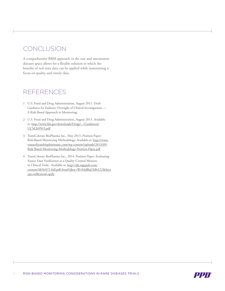# **CONCLUSION**

A comprehensive RBM approach in the rare and uncommon diseases space allows for a flexible solution in which the benefits of real-time data can be applied while maintaining a focus on quality and timely data.

## **REFERENCES**

- 1 U.S. Food and Drug Administration, August 2011. Draft Guidance for Industry Oversight of Clinical Investigations — A Risk-Based Approach to Monitoring.
- 2 U.S. Food and Drug Administration, August 2013. Available at: http://www.fda.gov/downloads/Drugs/.../Guidances/ UCM269919.pdf
- 3 TransCelerate BioPharma Inc., May 2013. Position Paper: Risk-Based Monitoring Methodology. Available at: http://www. transceleratebiopharmainc.com/wp-content/uploads/2013/09/ Risk-Based-Monitoring-Methodology-Position-Paper.pdf
- 4 TransCelerate BioPharma Inc., 2014. Position Paper: Evaluating Source Data Verification as a Quality Control Measure in Clinical Trials. Available at: http://dij.sagepub.com/ content/48/6/671.full.pdf+html?ijkey=WvFddBqUhBvCU&keyt ype=ref&siteid=spdij